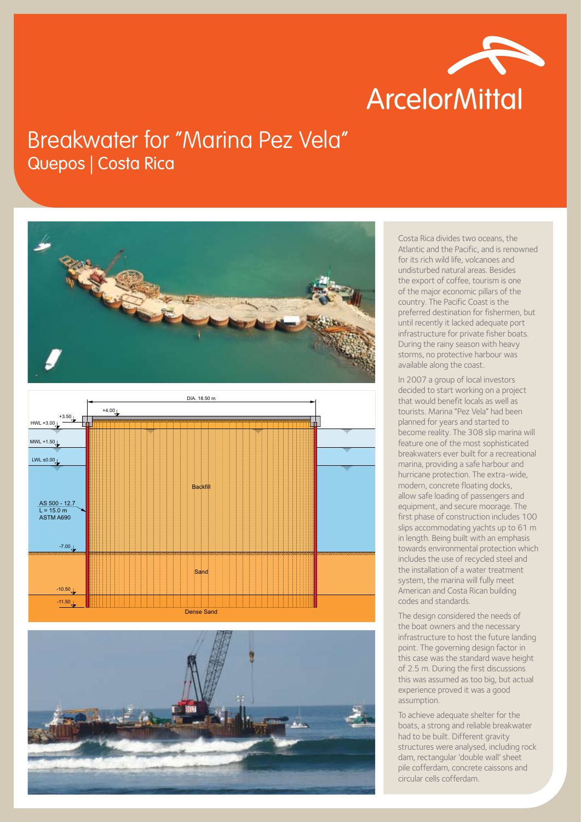

## Breakwater for ''Marina Pez Vela'' Quepos | Costa Rica







Costa Rica divides two oceans, the Atlantic and the Pacific, and is renowned for its rich wild life, volcanoes and undisturbed natural areas. Besides the export of coffee, tourism is one of the major economic pillars of the country. The Pacific Coast is the preferred destination for fishermen, but until recently it lacked adequate port infrastructure for private fisher boats. During the rainy season with heavy storms, no protective harbour was available along the coast.

In 2007 a group of local investors decided to start working on a project that would benefit locals as well as tourists. Marina "Pez Vela" had been planned for years and started to become reality. The 308 slip marina will feature one of the most sophisticated breakwaters ever built for a recreational marina, providing a safe harbour and hurricane protection. The extra-wide, modern, concrete floating docks, allow safe loading of passengers and equipment, and secure moorage. The first phase of construction includes 100 slips accommodating yachts up to 61 m in length. Being built with an emphasis towards environmental protection which includes the use of recycled steel and the installation of a water treatment system, the marina will fully meet American and Costa Rican building codes and standards.

The design considered the needs of the boat owners and the necessary infrastructure to host the future landing point. The governing design factor in this case was the standard wave height of 2.5 m. During the first discussions this was assumed as too big, but actual experience proved it was a good assumption.

To achieve adequate shelter for the boats, a strong and reliable breakwater had to be built. Different gravity structures were analysed, including rock dam, rectangular 'double wall' sheet pile cofferdam, concrete caissons and circular cells cofferdam.